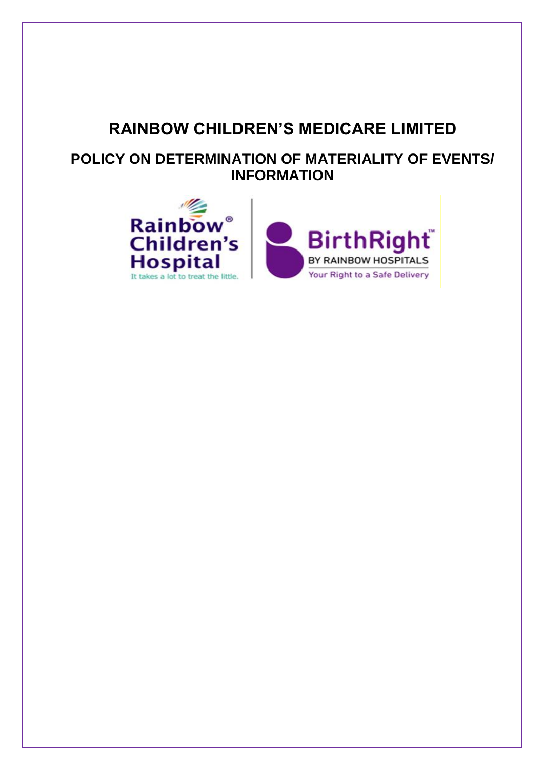# **RAINBOW CHILDREN'S MEDICARE LIMITED**

# **POLICY ON DETERMINATION OF MATERIALITY OF EVENTS/ INFORMATION**

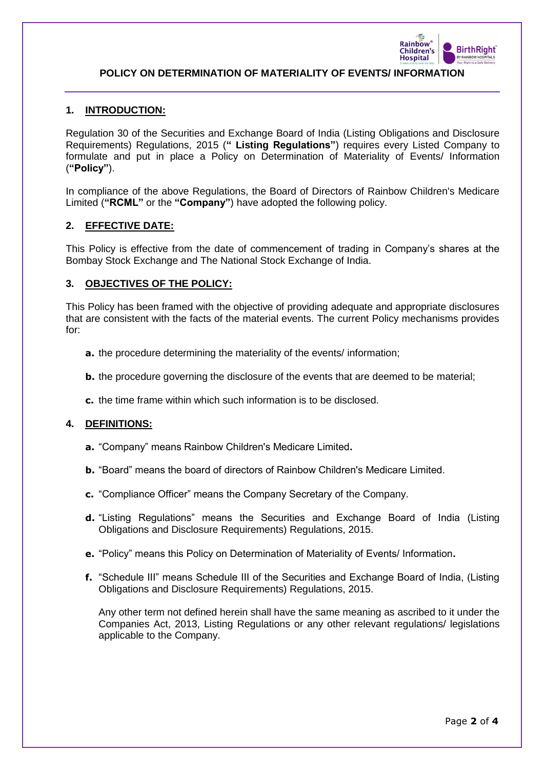

## **POLICY ON DETERMINATION OF MATERIALITY OF EVENTS/ INFORMATION**

### **1. INTRODUCTION:**

Regulation 30 of the Securities and Exchange Board of India (Listing Obligations and Disclosure Requirements) Regulations, 2015 (**" Listing Regulations"**) requires every Listed Company to formulate and put in place a Policy on Determination of Materiality of Events/ Information (**"Policy"**).

In compliance of the above Regulations, the Board of Directors of Rainbow Children's Medicare Limited (**"RCML"** or the **"Company"**) have adopted the following policy.

#### **2. EFFECTIVE DATE:**

This Policy is effective from the date of commencement of trading in Company's shares at the Bombay Stock Exchange and The National Stock Exchange of India.

#### **3. OBJECTIVES OF THE POLICY:**

This Policy has been framed with the objective of providing adequate and appropriate disclosures that are consistent with the facts of the material events. The current Policy mechanisms provides for:

- **a.** the procedure determining the materiality of the events/ information;
- **b.** the procedure governing the disclosure of the events that are deemed to be material;
- **c.** the time frame within which such information is to be disclosed.

#### **4. DEFINITIONS:**

- **a.** "Company" means Rainbow Children's Medicare Limited**.**
- **b.** "Board" means the board of directors of Rainbow Children's Medicare Limited.
- **c.** "Compliance Officer" means the Company Secretary of the Company.
- **d.** "Listing Regulations" means the Securities and Exchange Board of India (Listing Obligations and Disclosure Requirements) Regulations, 2015.
- **e.** "Policy" means this Policy on Determination of Materiality of Events/ Information**.**
- **f.** "Schedule III" means Schedule III of the Securities and Exchange Board of India, (Listing Obligations and Disclosure Requirements) Regulations, 2015.

Any other term not defined herein shall have the same meaning as ascribed to it under the Companies Act, 2013, Listing Regulations or any other relevant regulations/ legislations applicable to the Company.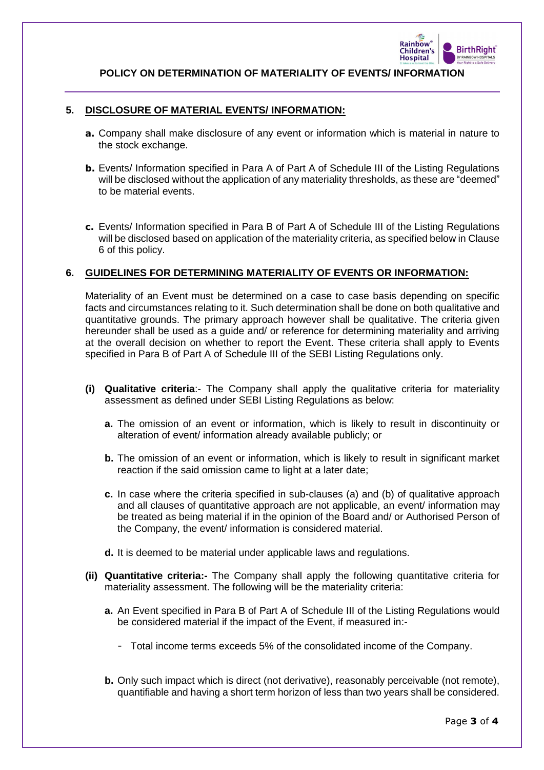

**POLICY ON DETERMINATION OF MATERIALITY OF EVENTS/ INFORMATION**

#### **5. DISCLOSURE OF MATERIAL EVENTS/ INFORMATION:**

- **a.** Company shall make disclosure of any event or information which is material in nature to the stock exchange.
- **b.** Events/ Information specified in Para A of Part A of Schedule III of the Listing Regulations will be disclosed without the application of any materiality thresholds, as these are "deemed" to be material events.
- **c.** Events/ Information specified in Para B of Part A of Schedule III of the Listing Regulations will be disclosed based on application of the materiality criteria, as specified below in Clause 6 of this policy.

#### **6. GUIDELINES FOR DETERMINING MATERIALITY OF EVENTS OR INFORMATION:**

Materiality of an Event must be determined on a case to case basis depending on specific facts and circumstances relating to it. Such determination shall be done on both qualitative and quantitative grounds. The primary approach however shall be qualitative. The criteria given hereunder shall be used as a guide and/ or reference for determining materiality and arriving at the overall decision on whether to report the Event. These criteria shall apply to Events specified in Para B of Part A of Schedule III of the SEBI Listing Regulations only.

- **(i) Qualitative criteria**:- The Company shall apply the qualitative criteria for materiality assessment as defined under SEBI Listing Regulations as below:
	- **a.** The omission of an event or information, which is likely to result in discontinuity or alteration of event/ information already available publicly; or
	- **b.** The omission of an event or information, which is likely to result in significant market reaction if the said omission came to light at a later date;
	- **c.** In case where the criteria specified in sub-clauses (a) and (b) of qualitative approach and all clauses of quantitative approach are not applicable, an event/ information may be treated as being material if in the opinion of the Board and/ or Authorised Person of the Company, the event/ information is considered material.
	- **d.** It is deemed to be material under applicable laws and regulations.
- **(ii) Quantitative criteria:-** The Company shall apply the following quantitative criteria for materiality assessment. The following will be the materiality criteria:
	- **a.** An Event specified in Para B of Part A of Schedule III of the Listing Regulations would be considered material if the impact of the Event, if measured in:-
		- Total income terms exceeds 5% of the consolidated income of the Company.
	- **b.** Only such impact which is direct (not derivative), reasonably perceivable (not remote), quantifiable and having a short term horizon of less than two years shall be considered.